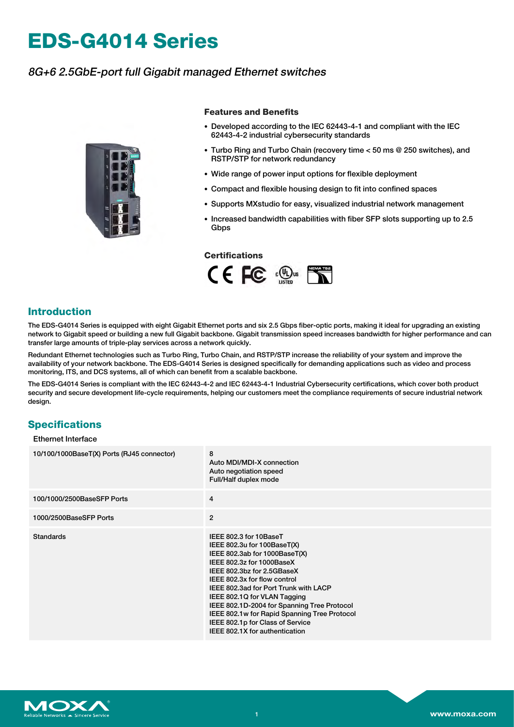# **EDS-G4014 Series**

# 8G+6 2.5GbE-port full Gigabit managed Ethernet switches



#### **Features and Benefits**

- Developed according to the IEC 62443-4-1 and compliant with the IEC 62443-4-2 industrial cybersecurity standards
- Turbo Ring and Turbo Chain (recovery time < 50 ms @ 250 switches), and RSTP/STP for network redundancy
- Wide range of power input options for flexible deployment
- Compact and flexible housing design to fit into confined spaces
- Supports MXstudio for easy, visualized industrial network management
- Increased bandwidth capabilities with fiber SFP slots supporting up to 2.5 **Gbps**

#### **Certifications**



#### **Introduction**

The EDS-G4014 Series is equipped with eight Gigabit Ethernet ports and six 2.5 Gbps fiber-optic ports, making it ideal for upgrading an existing network to Gigabit speed or building a new full Gigabit backbone. Gigabit transmission speed increases bandwidth for higher performance and can transfer large amounts of triple-play services across a network quickly.

Redundant Ethernet technologies such as Turbo Ring, Turbo Chain, and RSTP/STP increase the reliability of your system and improve the availability of your network backbone. The EDS-G4014 Series is designed specifically for demanding applications such as video and process monitoring, ITS, and DCS systems, all of which can benefit from a scalable backbone.

The EDS-G4014 Series is compliant with the IEC 62443-4-2 and IEC 62443-4-1 Industrial Cybersecurity certifications, which cover both product security and secure development life-cycle requirements, helping our customers meet the compliance requirements of secure industrial network design.

## **Specifications**

#### Ethernet Interface

| 10/100/1000BaseT(X) Ports (RJ45 connector) | 8<br>Auto MDI/MDI-X connection<br>Auto negotiation speed<br>Full/Half duplex mode                                                                                                                                                                                                                                                                                                                                               |
|--------------------------------------------|---------------------------------------------------------------------------------------------------------------------------------------------------------------------------------------------------------------------------------------------------------------------------------------------------------------------------------------------------------------------------------------------------------------------------------|
| 100/1000/2500BaseSFP Ports                 | $\overline{4}$                                                                                                                                                                                                                                                                                                                                                                                                                  |
| 1000/2500BaseSFP Ports                     | $\mathbf{2}$                                                                                                                                                                                                                                                                                                                                                                                                                    |
| <b>Standards</b>                           | IEEE 802.3 for 10BaseT<br>IEEE 802.3u for 100BaseT(X)<br>IEEE 802.3ab for 1000BaseT(X)<br>IEEE 802.3z for 1000BaseX<br>IEEE 802.3bz for 2.5GBaseX<br>IEEE 802.3x for flow control<br>IEEE 802.3ad for Port Trunk with LACP<br>IEEE 802.1Q for VLAN Tagging<br>IEEE 802.1D-2004 for Spanning Tree Protocol<br>IEEE 802.1w for Rapid Spanning Tree Protocol<br>IEEE 802.1p for Class of Service<br>IEEE 802.1X for authentication |

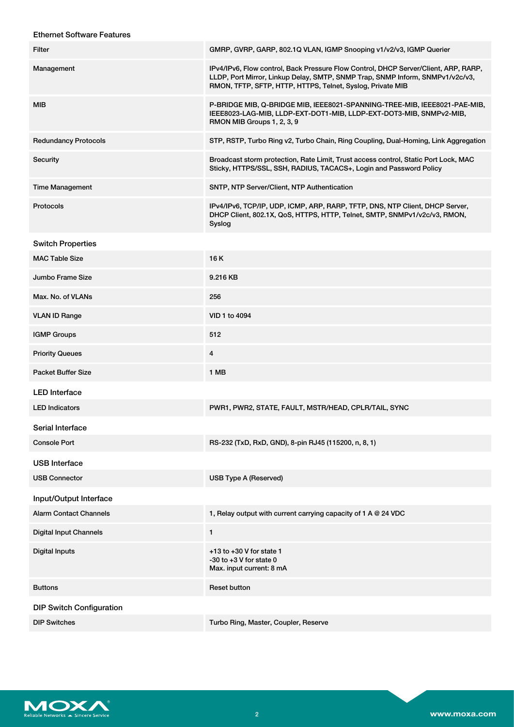| <b>Ethernet Software Features</b> |                                                                                                                                                                                                                                    |
|-----------------------------------|------------------------------------------------------------------------------------------------------------------------------------------------------------------------------------------------------------------------------------|
| <b>Filter</b>                     | GMRP, GVRP, GARP, 802.1Q VLAN, IGMP Snooping v1/v2/v3, IGMP Querier                                                                                                                                                                |
| Management                        | IPv4/IPv6, Flow control, Back Pressure Flow Control, DHCP Server/Client, ARP, RARP,<br>LLDP, Port Mirror, Linkup Delay, SMTP, SNMP Trap, SNMP Inform, SNMPv1/v2c/v3,<br>RMON, TFTP, SFTP, HTTP, HTTPS, Telnet, Syslog, Private MIB |
| <b>MIB</b>                        | P-BRIDGE MIB, Q-BRIDGE MIB, IEEE8021-SPANNING-TREE-MIB, IEEE8021-PAE-MIB,<br>IEEE8023-LAG-MIB, LLDP-EXT-DOT1-MIB, LLDP-EXT-DOT3-MIB, SNMPv2-MIB,<br>RMON MIB Groups 1, 2, 3, 9                                                     |
| <b>Redundancy Protocols</b>       | STP, RSTP, Turbo Ring v2, Turbo Chain, Ring Coupling, Dual-Homing, Link Aggregation                                                                                                                                                |
| Security                          | Broadcast storm protection, Rate Limit, Trust access control, Static Port Lock, MAC<br>Sticky, HTTPS/SSL, SSH, RADIUS, TACACS+, Login and Password Policy                                                                          |
| <b>Time Management</b>            | SNTP, NTP Server/Client, NTP Authentication                                                                                                                                                                                        |
| Protocols                         | IPv4/IPv6, TCP/IP, UDP, ICMP, ARP, RARP, TFTP, DNS, NTP Client, DHCP Server,<br>DHCP Client, 802.1X, QoS, HTTPS, HTTP, Telnet, SMTP, SNMPv1/v2c/v3, RMON,<br>Syslog                                                                |
| <b>Switch Properties</b>          |                                                                                                                                                                                                                                    |
| <b>MAC Table Size</b>             | 16K                                                                                                                                                                                                                                |
| Jumbo Frame Size                  | 9.216 KB                                                                                                                                                                                                                           |
| Max. No. of VLANs                 | 256                                                                                                                                                                                                                                |
| <b>VLAN ID Range</b>              | VID 1 to 4094                                                                                                                                                                                                                      |
| <b>IGMP Groups</b>                | 512                                                                                                                                                                                                                                |
| <b>Priority Queues</b>            | $\overline{4}$                                                                                                                                                                                                                     |
| <b>Packet Buffer Size</b>         | 1 MB                                                                                                                                                                                                                               |
| <b>LED</b> Interface              |                                                                                                                                                                                                                                    |
| <b>LED</b> Indicators             | PWR1, PWR2, STATE, FAULT, MSTR/HEAD, CPLR/TAIL, SYNC                                                                                                                                                                               |
| Serial Interface                  |                                                                                                                                                                                                                                    |
| <b>Console Port</b>               | RS-232 (TxD, RxD, GND), 8-pin RJ45 (115200, n, 8, 1)                                                                                                                                                                               |
| <b>USB</b> Interface              |                                                                                                                                                                                                                                    |
| <b>USB Connector</b>              | <b>USB Type A (Reserved)</b>                                                                                                                                                                                                       |
| Input/Output Interface            |                                                                                                                                                                                                                                    |
| <b>Alarm Contact Channels</b>     | 1, Relay output with current carrying capacity of 1 A @ 24 VDC                                                                                                                                                                     |
| <b>Digital Input Channels</b>     | 1                                                                                                                                                                                                                                  |
| <b>Digital Inputs</b>             | $+13$ to $+30$ V for state 1<br>$-30$ to $+3$ V for state 0<br>Max. input current: 8 mA                                                                                                                                            |
| <b>Buttons</b>                    | <b>Reset button</b>                                                                                                                                                                                                                |
| <b>DIP Switch Configuration</b>   |                                                                                                                                                                                                                                    |
| <b>DIP Switches</b>               | Turbo Ring, Master, Coupler, Reserve                                                                                                                                                                                               |

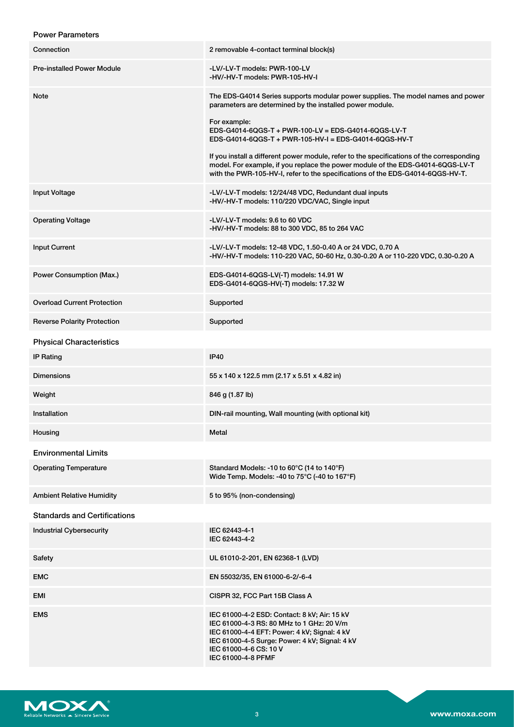## Power Parameters

| Connection                          | 2 removable 4-contact terminal block(s)                                                                                                                                                                                                                       |
|-------------------------------------|---------------------------------------------------------------------------------------------------------------------------------------------------------------------------------------------------------------------------------------------------------------|
| <b>Pre-installed Power Module</b>   | -LV/-LV-T models: PWR-100-LV<br>-HV/-HV-T models: PWR-105-HV-I                                                                                                                                                                                                |
| Note                                | The EDS-G4014 Series supports modular power supplies. The model names and power<br>parameters are determined by the installed power module.                                                                                                                   |
|                                     | For example:<br>EDS-G4014-6QGS-T + PWR-100-LV = EDS-G4014-6QGS-LV-T<br>EDS-G4014-6QGS-T + PWR-105-HV-I = EDS-G4014-6QGS-HV-T                                                                                                                                  |
|                                     | If you install a different power module, refer to the specifications of the corresponding<br>model. For example, if you replace the power module of the EDS-G4014-6QGS-LV-T<br>with the PWR-105-HV-I, refer to the specifications of the EDS-G4014-6QGS-HV-T. |
| <b>Input Voltage</b>                | -LV/-LV-T models: 12/24/48 VDC, Redundant dual inputs<br>-HV/-HV-T models: 110/220 VDC/VAC, Single input                                                                                                                                                      |
| <b>Operating Voltage</b>            | -LV/-LV-T models: 9.6 to 60 VDC<br>-HV/-HV-T models: 88 to 300 VDC, 85 to 264 VAC                                                                                                                                                                             |
| <b>Input Current</b>                | -LV/-LV-T models: 12-48 VDC, 1.50-0.40 A or 24 VDC, 0.70 A<br>-HV/-HV-T models: 110-220 VAC, 50-60 Hz, 0.30-0.20 A or 110-220 VDC, 0.30-0.20 A                                                                                                                |
| Power Consumption (Max.)            | EDS-G4014-6QGS-LV(-T) models: 14.91 W<br>EDS-G4014-6QGS-HV(-T) models: 17.32 W                                                                                                                                                                                |
| <b>Overload Current Protection</b>  | Supported                                                                                                                                                                                                                                                     |
| <b>Reverse Polarity Protection</b>  | Supported                                                                                                                                                                                                                                                     |
| <b>Physical Characteristics</b>     |                                                                                                                                                                                                                                                               |
| <b>IP Rating</b>                    | <b>IP40</b>                                                                                                                                                                                                                                                   |
| <b>Dimensions</b>                   | 55 x 140 x 122.5 mm (2.17 x 5.51 x 4.82 in)                                                                                                                                                                                                                   |
| Weight                              | 846 g (1.87 lb)                                                                                                                                                                                                                                               |
| Installation                        | DIN-rail mounting, Wall mounting (with optional kit)                                                                                                                                                                                                          |
| Housing                             | Metal                                                                                                                                                                                                                                                         |
| <b>Environmental Limits</b>         |                                                                                                                                                                                                                                                               |
| <b>Operating Temperature</b>        | Standard Models: -10 to 60 $\degree$ C (14 to 140 $\degree$ F)<br>Wide Temp. Models: -40 to 75°C (-40 to 167°F)                                                                                                                                               |
| <b>Ambient Relative Humidity</b>    | 5 to 95% (non-condensing)                                                                                                                                                                                                                                     |
| <b>Standards and Certifications</b> |                                                                                                                                                                                                                                                               |
| <b>Industrial Cybersecurity</b>     | IEC 62443-4-1<br>IEC 62443-4-2                                                                                                                                                                                                                                |
| Safety                              | UL 61010-2-201, EN 62368-1 (LVD)                                                                                                                                                                                                                              |
| <b>EMC</b>                          | EN 55032/35, EN 61000-6-2/-6-4                                                                                                                                                                                                                                |
| EMI                                 | CISPR 32, FCC Part 15B Class A                                                                                                                                                                                                                                |
| <b>EMS</b>                          | IEC 61000-4-2 ESD: Contact: 8 kV; Air: 15 kV<br>IEC 61000-4-3 RS: 80 MHz to 1 GHz: 20 V/m<br>IEC 61000-4-4 EFT: Power: 4 kV; Signal: 4 kV<br>IEC 61000-4-5 Surge: Power: 4 kV; Signal: 4 kV<br>IEC 61000-4-6 CS: 10 V<br>IEC 61000-4-8 PFMF                   |

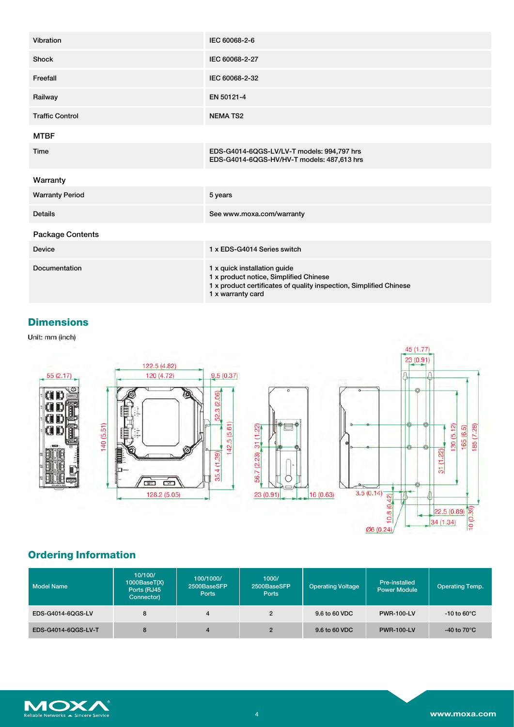| Vibration              | IEC 60068-2-6                                                                                                                                                     |
|------------------------|-------------------------------------------------------------------------------------------------------------------------------------------------------------------|
| Shock                  | IEC 60068-2-27                                                                                                                                                    |
| Freefall               | IEC 60068-2-32                                                                                                                                                    |
| Railway                | EN 50121-4                                                                                                                                                        |
| <b>Traffic Control</b> | <b>NEMATS2</b>                                                                                                                                                    |
| <b>MTBF</b>            |                                                                                                                                                                   |
| Time                   | EDS-G4014-6QGS-LV/LV-T models: 994,797 hrs<br>EDS-G4014-6QGS-HV/HV-T models: 487,613 hrs                                                                          |
| Warranty               |                                                                                                                                                                   |
| <b>Warranty Period</b> | 5 years                                                                                                                                                           |
| <b>Details</b>         | See www.moxa.com/warranty                                                                                                                                         |
| Package Contents       |                                                                                                                                                                   |
| <b>Device</b>          | 1 x EDS-G4014 Series switch                                                                                                                                       |
| Documentation          | 1 x quick installation guide<br>1 x product notice, Simplified Chinese<br>1 x product certificates of quality inspection, Simplified Chinese<br>1 x warranty card |

## **Dimensions**

Unit: mm (inch)



# **Ordering Information**

| <b>Model Name</b>   | 10/100/<br>1000BaseT(X)<br>Ports (RJ45<br>Connector) | 100/1000/<br>2500BaseSFP<br><b>Ports</b> | 1000/<br>2500BaseSFP<br><b>Ports</b> | <b>Operating Voltage</b> | Pre-installed<br><b>Power Module</b> | <b>Operating Temp.</b>  |
|---------------------|------------------------------------------------------|------------------------------------------|--------------------------------------|--------------------------|--------------------------------------|-------------------------|
| EDS-G4014-6QGS-LV   | 8                                                    |                                          |                                      | 9.6 to 60 VDC            | <b>PWR-100-LV</b>                    | $-10$ to 60 $\degree$ C |
| EDS-G4014-6QGS-LV-T | 8                                                    |                                          |                                      | 9.6 to 60 VDC            | <b>PWR-100-LV</b>                    | -40 to 70 $^{\circ}$ C  |

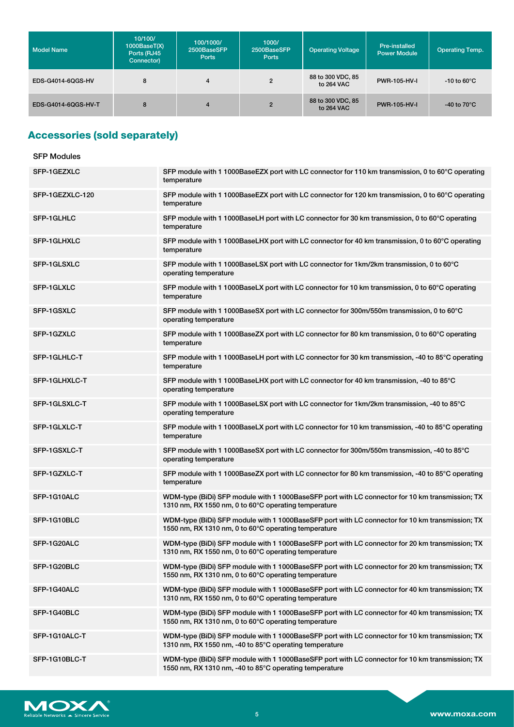| <b>Model Name</b>   | 10/100/<br>1000BaseT(X)<br>Ports (RJ45<br>Connector) | 100/1000/<br>2500BaseSFP<br><b>Ports</b> | 1000/<br>2500BaseSFP<br><b>Ports</b> | <b>Operating Voltage</b>        | Pre-installed<br><b>Power Module</b> | <b>Operating Temp.</b>         |
|---------------------|------------------------------------------------------|------------------------------------------|--------------------------------------|---------------------------------|--------------------------------------|--------------------------------|
| EDS-G4014-6OGS-HV   | 8                                                    | $\overline{\mathbf{4}}$                  | $\overline{2}$                       | 88 to 300 VDC, 85<br>to 264 VAC | PWR-105-HV-I                         | $-10$ to 60 $\degree$ C        |
| EDS-G4014-6QGS-HV-T | 8                                                    | 4                                        | $\overline{2}$                       | 88 to 300 VDC, 85<br>to 264 VAC | <b>PWR-105-HV-I</b>                  | -40 to 70 $\mathrm{^{\circ}C}$ |

# **Accessories (sold separately)**

| <b>SFP Modules</b> |                                                                                                                                                           |
|--------------------|-----------------------------------------------------------------------------------------------------------------------------------------------------------|
| SFP-1GEZXLC        | SFP module with 1 1000BaseEZX port with LC connector for 110 km transmission, 0 to 60°C operating<br>temperature                                          |
| SFP-1GEZXLC-120    | SFP module with 1 1000BaseEZX port with LC connector for 120 km transmission, 0 to 60°C operating<br>temperature                                          |
| SFP-1GLHLC         | SFP module with 1 1000BaseLH port with LC connector for 30 km transmission, 0 to 60°C operating<br>temperature                                            |
| <b>SFP-1GLHXLC</b> | SFP module with 1 1000BaseLHX port with LC connector for 40 km transmission, 0 to 60°C operating<br>temperature                                           |
| SFP-1GLSXLC        | SFP module with 1 1000BaseLSX port with LC connector for 1km/2km transmission, 0 to 60°C<br>operating temperature                                         |
| SFP-1GLXLC         | SFP module with 1 1000BaseLX port with LC connector for 10 km transmission, 0 to 60°C operating<br>temperature                                            |
| SFP-1GSXLC         | SFP module with 1 1000BaseSX port with LC connector for 300m/550m transmission, 0 to 60°C<br>operating temperature                                        |
| SFP-1GZXLC         | SFP module with 1 1000BaseZX port with LC connector for 80 km transmission, 0 to 60°C operating<br>temperature                                            |
| SFP-1GLHLC-T       | SFP module with 1 1000BaseLH port with LC connector for 30 km transmission, -40 to 85°C operating<br>temperature                                          |
| SFP-1GLHXLC-T      | SFP module with 1 1000BaseLHX port with LC connector for 40 km transmission, -40 to 85°C<br>operating temperature                                         |
| SFP-1GLSXLC-T      | SFP module with 1 1000BaseLSX port with LC connector for 1km/2km transmission, -40 to 85°C<br>operating temperature                                       |
| SFP-1GLXLC-T       | SFP module with 1 1000BaseLX port with LC connector for 10 km transmission, -40 to 85°C operating<br>temperature                                          |
| SFP-1GSXLC-T       | SFP module with 1 1000BaseSX port with LC connector for 300m/550m transmission, -40 to 85°C<br>operating temperature                                      |
| SFP-1GZXLC-T       | SFP module with 1 1000BaseZX port with LC connector for 80 km transmission, -40 to 85°C operating<br>temperature                                          |
| SFP-1G10ALC        | WDM-type (BiDi) SFP module with 1 1000BaseSFP port with LC connector for 10 km transmission; TX<br>1310 nm, RX 1550 nm, 0 to 60°C operating temperature   |
| SFP-1G10BLC        | WDM-type (BiDi) SFP module with 1 1000BaseSFP port with LC connector for 10 km transmission; TX<br>1550 nm, RX 1310 nm, 0 to 60°C operating temperature   |
| SFP-1G20ALC        | WDM-type (BiDi) SFP module with 1 1000BaseSFP port with LC connector for 20 km transmission; TX<br>1310 nm. RX 1550 nm. 0 to 60°C operating temperature   |
| SFP-1G20BLC        | WDM-type (BiDi) SFP module with 1 1000BaseSFP port with LC connector for 20 km transmission; TX<br>1550 nm, RX 1310 nm, 0 to 60°C operating temperature   |
| SFP-1G40ALC        | WDM-type (BiDi) SFP module with 1 1000BaseSFP port with LC connector for 40 km transmission; TX<br>1310 nm, RX 1550 nm, 0 to 60°C operating temperature   |
| SFP-1G40BLC        | WDM-type (BiDi) SFP module with 1 1000BaseSFP port with LC connector for 40 km transmission; TX<br>1550 nm, RX 1310 nm, 0 to 60°C operating temperature   |
| SFP-1G10ALC-T      | WDM-type (BiDi) SFP module with 1 1000BaseSFP port with LC connector for 10 km transmission; TX<br>1310 nm, RX 1550 nm, -40 to 85°C operating temperature |
| SFP-1G10BLC-T      | WDM-type (BiDi) SFP module with 1 1000BaseSFP port with LC connector for 10 km transmission; TX<br>1550 nm, RX 1310 nm, -40 to 85°C operating temperature |